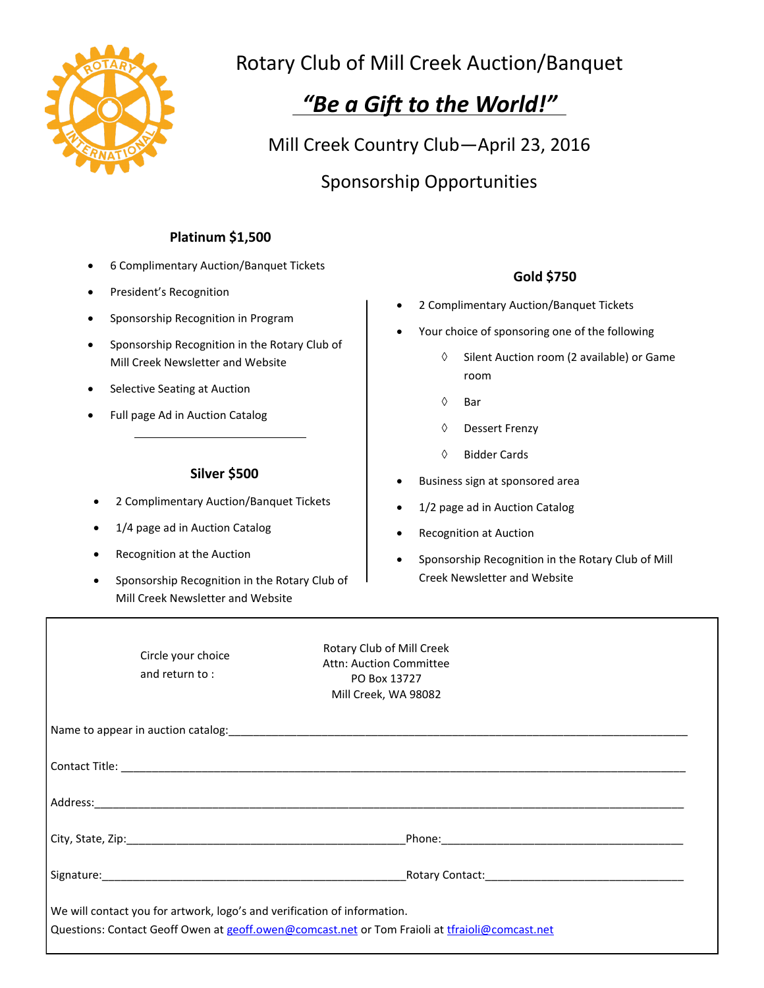

## Rotary Club of Mill Creek Auction/Banquet

# *"Be a Gift to the World!"*

Mill Creek Country Club—April 23, 2016 Sponsorship Opportunities

### **Platinum \$1,500**

- 6 Complimentary Auction/Banquet Tickets
- President's Recognition
- Sponsorship Recognition in Program
- Sponsorship Recognition in the Rotary Club of Mill Creek Newsletter and Website
- Selective Seating at Auction
- Full page Ad in Auction Catalog

#### **Silver \$500**

- 2 Complimentary Auction/Banquet Tickets
- 1/4 page ad in Auction Catalog
- Recognition at the Auction
- Sponsorship Recognition in the Rotary Club of Mill Creek Newsletter and Website

#### **Gold \$750**

- 2 Complimentary Auction/Banquet Tickets
- Your choice of sponsoring one of the following
	- $\Diamond$  Silent Auction room (2 available) or Game room
	- $\Diamond$  Bar
	- Dessert Frenzy
	- Bidder Cards
- Business sign at sponsored area
- 1/2 page ad in Auction Catalog
- Recognition at Auction
- Sponsorship Recognition in the Rotary Club of Mill Creek Newsletter and Website

|                                                                                                                                                                            | Circle your choice<br>and return to: | Rotary Club of Mill Creek<br>Attn: Auction Committee<br>PO Box 13727<br>Mill Creek, WA 98082                   |  |  |  |
|----------------------------------------------------------------------------------------------------------------------------------------------------------------------------|--------------------------------------|----------------------------------------------------------------------------------------------------------------|--|--|--|
|                                                                                                                                                                            |                                      |                                                                                                                |  |  |  |
|                                                                                                                                                                            |                                      |                                                                                                                |  |  |  |
|                                                                                                                                                                            |                                      |                                                                                                                |  |  |  |
|                                                                                                                                                                            |                                      |                                                                                                                |  |  |  |
|                                                                                                                                                                            |                                      | Rotary Contact: National Contract of Contract of Contract of Contract of Contract of Contract of Contract of C |  |  |  |
| We will contact you for artwork, logo's and verification of information.<br>Questions: Contact Geoff Owen at geoff.owen@comcast.net or Tom Fraioli at tfraioli@comcast.net |                                      |                                                                                                                |  |  |  |